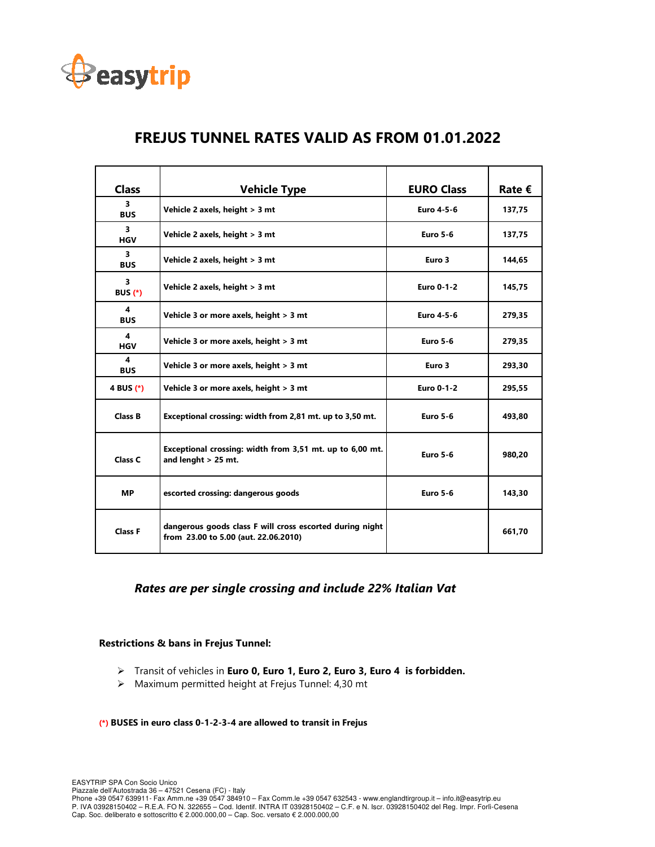

| <b>Class</b>                              | <b>Vehicle Type</b>                                                                              | <b>EURO Class</b> | Rate € |
|-------------------------------------------|--------------------------------------------------------------------------------------------------|-------------------|--------|
| 3<br><b>BUS</b>                           | Vehicle 2 axels, height > 3 mt                                                                   | Euro 4-5-6        | 137,75 |
| 3<br><b>HGV</b>                           | Vehicle 2 axels, height > 3 mt                                                                   | <b>Euro 5-6</b>   | 137,75 |
| $\overline{\mathbf{3}}$<br><b>BUS</b>     | Vehicle 2 axels, height > 3 mt                                                                   | Euro 3            | 144,65 |
| $\overline{\mathbf{3}}$<br><b>BUS (*)</b> | Vehicle 2 axels, height > 3 mt                                                                   | <b>Euro 0-1-2</b> | 145,75 |
| 4<br><b>BUS</b>                           | Vehicle 3 or more axels, height > 3 mt                                                           | Euro 4-5-6        | 279,35 |
| $\boldsymbol{4}$<br><b>HGV</b>            | Vehicle 3 or more axels, height > 3 mt                                                           | <b>Euro 5-6</b>   | 279,35 |
| 4<br><b>BUS</b>                           | Vehicle 3 or more axels, height > 3 mt                                                           | Euro 3            | 293,30 |
| 4 BUS (*)                                 | Vehicle 3 or more axels, height > 3 mt                                                           | <b>Euro 0-1-2</b> | 295,55 |
| <b>Class B</b>                            | Exceptional crossing: width from 2,81 mt. up to 3,50 mt.                                         | <b>Euro 5-6</b>   | 493,80 |
| Class C                                   | Exceptional crossing: width from 3,51 mt. up to 6,00 mt.<br>and lenght $>$ 25 mt.                | <b>Euro 5-6</b>   | 980,20 |
| <b>MP</b>                                 | escorted crossing: dangerous goods                                                               | <b>Euro 5-6</b>   | 143,30 |
| <b>Class F</b>                            | dangerous goods class F will cross escorted during night<br>from 23.00 to 5.00 (aut. 22.06.2010) |                   | 661,70 |

# **FREJUS TUNNEL RATES VALID AS FROM 01.01.2022**

## *Rates are per single crossing and include 22% Italian Vat*

### **Restrictions & bans in Frejus Tunnel:**

- Transit of vehicles in **Euro 0, Euro 1, Euro 2, Euro 3, Euro 4 is forbidden.**
- $\triangleright$  Maximum permitted height at Frejus Tunnel: 4,30 mt

#### **(\*) BUSES in euro class 0-1-2-3-4 are allowed to transit in Frejus**